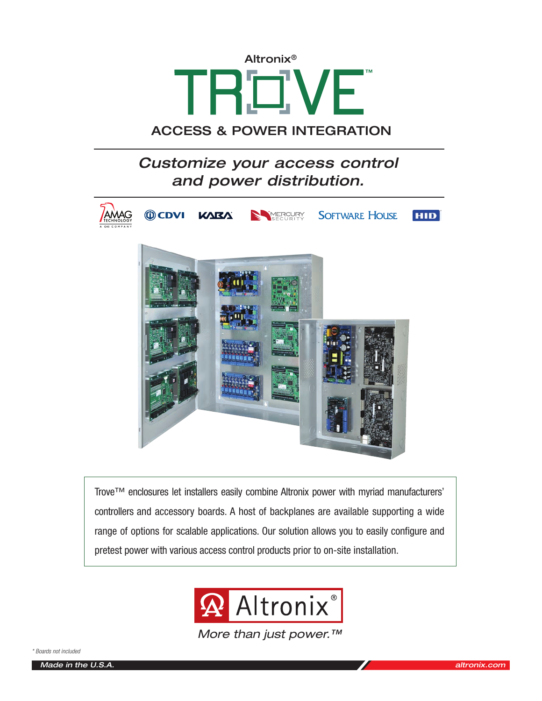

# ACCESS & POWER INTEGRATION

# *Customize your access control and power distribution.*



Trove™ enclosures let installers easily combine Altronix power with myriad manufacturers' controllers and accessory boards. A host of backplanes are available supporting a wide range of options for scalable applications. Our solution allows you to easily configure and pretest power with various access control products prior to on-site installation.



*More than just power.™*

*\* Boards not included*